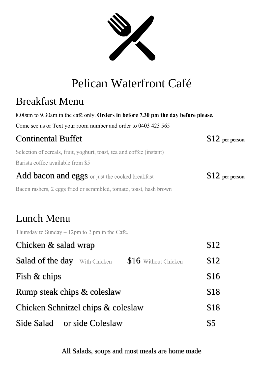

# Pelican Waterfront Café

### Breakfast Menu

8.00am to 9.30am in the café only. Orders in before 7.30 pm the day before please.

Come see us or Text your room number and order to 0403 423 565

| <b>Continental Buffet</b>                                             | $$12$ per person |
|-----------------------------------------------------------------------|------------------|
| Selection of cereals, fruit, yoghurt, toast, tea and coffee (instant) |                  |
| Barista coffee available from \$5                                     |                  |
| Add bacon and eggs or just the cooked breakfast                       | $$12$ per person |
| Bacon rashers, 2 eggs fried or scrambled, tomato, toast, hash brown   |                  |

### Lunch Menu

Thursday to Sunday  $-12$ pm to 2 pm in the Cafe.

| Chicken & salad wrap                 |                      | \$12 |
|--------------------------------------|----------------------|------|
| <b>Salad of the day</b> With Chicken | \$16 Without Chicken | \$12 |
| Fish & chips                         |                      | \$16 |
| Rump steak chips & coleslaw          |                      |      |
| Chicken Schnitzel chips & coleslaw   |                      | \$18 |
| Side Salad or side Coleslaw          |                      | \$5  |

All Salads, soups and most meals are home made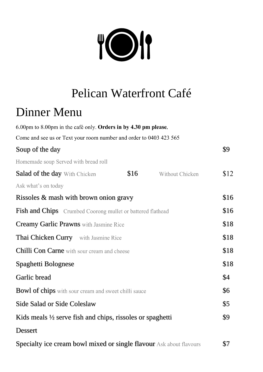

# Pelican Waterfront Café

## Dinner Menu

| 6.00pm to 8.00pm in the café only. Orders in by 4.30 pm please.            |      |                 |      |
|----------------------------------------------------------------------------|------|-----------------|------|
| Come and see us or Text your room number and order to 0403 423 565         |      |                 |      |
| Soup of the day                                                            |      |                 | \$9  |
| Homemade soup Served with bread roll                                       |      |                 |      |
| <b>Salad of the day With Chicken</b>                                       | \$16 | Without Chicken | \$12 |
| Ask what's on today                                                        |      |                 |      |
| Rissoles & mash with brown onion gravy                                     |      |                 | \$16 |
| Fish and Chips Crumbed Coorong mullet or battered flathead                 |      |                 | \$16 |
| Creamy Garlic Prawns with Jasmine Rice                                     |      |                 | \$18 |
| Thai Chicken Curry with Jasmine Rice                                       |      |                 | \$18 |
| Chilli Con Carne with sour cream and cheese                                |      |                 | \$18 |
| Spaghetti Bolognese                                                        |      |                 | \$18 |
| Garlic bread                                                               |      |                 | \$4  |
| <b>Bowl of chips</b> with sour cream and sweet chilli sauce                |      |                 | \$6  |
| <b>Side Salad or Side Coleslaw</b>                                         |      |                 | \$5  |
| Kids meals $\frac{1}{2}$ serve fish and chips, rissoles or spaghetti       |      |                 | \$9  |
| <b>Dessert</b>                                                             |      |                 |      |
| <b>Specialty ice cream bowl mixed or single flavour</b> Ask about flavours |      |                 | \$7  |